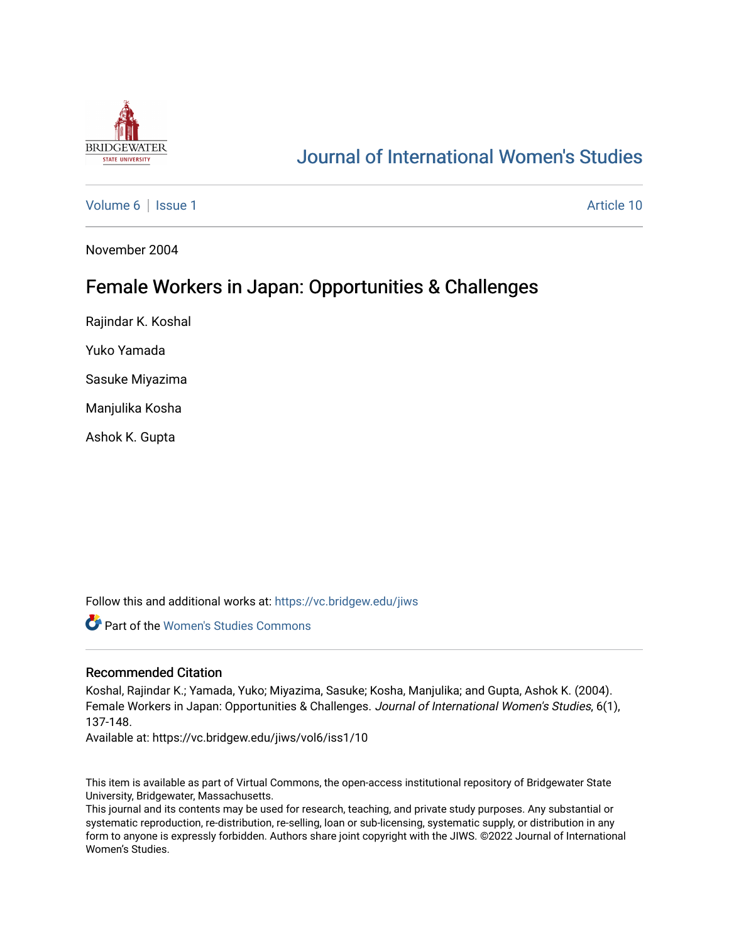

# [Journal of International Women's Studies](https://vc.bridgew.edu/jiws)

[Volume 6](https://vc.bridgew.edu/jiws/vol6) | [Issue 1](https://vc.bridgew.edu/jiws/vol6/iss1) Article 10

November 2004

# Female Workers in Japan: Opportunities & Challenges

Rajindar K. Koshal

Yuko Yamada

Sasuke Miyazima

Manjulika Kosha

Ashok K. Gupta

Follow this and additional works at: [https://vc.bridgew.edu/jiws](https://vc.bridgew.edu/jiws?utm_source=vc.bridgew.edu%2Fjiws%2Fvol6%2Fiss1%2F10&utm_medium=PDF&utm_campaign=PDFCoverPages)

Part of the [Women's Studies Commons](http://network.bepress.com/hgg/discipline/561?utm_source=vc.bridgew.edu%2Fjiws%2Fvol6%2Fiss1%2F10&utm_medium=PDF&utm_campaign=PDFCoverPages) 

#### Recommended Citation

Koshal, Rajindar K.; Yamada, Yuko; Miyazima, Sasuke; Kosha, Manjulika; and Gupta, Ashok K. (2004). Female Workers in Japan: Opportunities & Challenges. Journal of International Women's Studies, 6(1), 137-148.

Available at: https://vc.bridgew.edu/jiws/vol6/iss1/10

This item is available as part of Virtual Commons, the open-access institutional repository of Bridgewater State University, Bridgewater, Massachusetts.

This journal and its contents may be used for research, teaching, and private study purposes. Any substantial or systematic reproduction, re-distribution, re-selling, loan or sub-licensing, systematic supply, or distribution in any form to anyone is expressly forbidden. Authors share joint copyright with the JIWS. ©2022 Journal of International Women's Studies.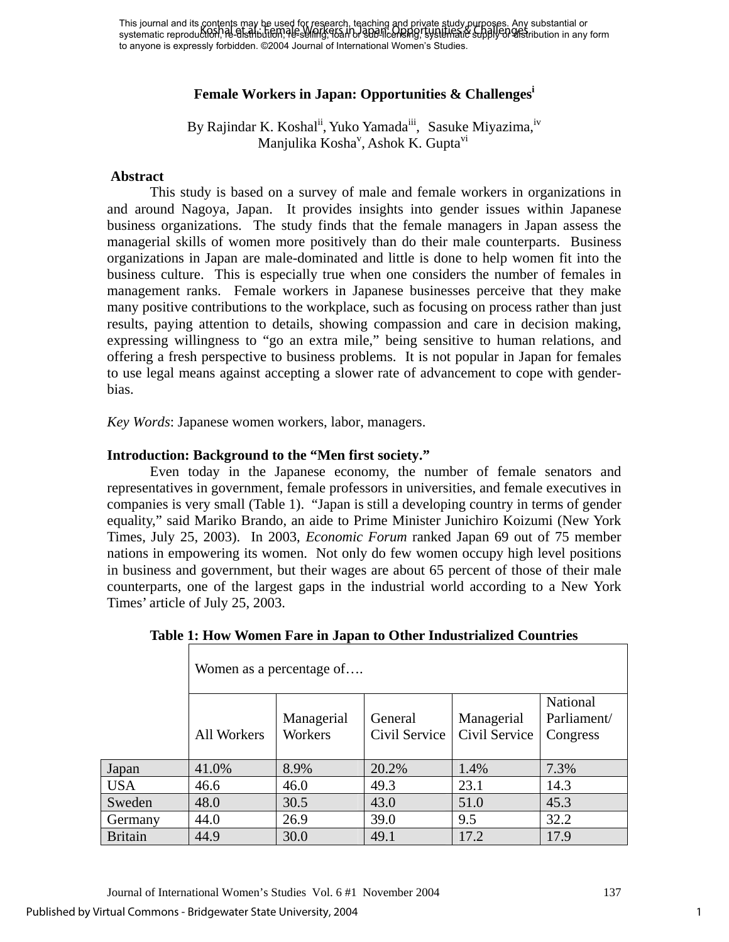# **Female Workers in Japan: Opportunities & Challenge[si](#page-12-0)**

By Rajindar K. Koshal<sup>ii</sup>, Yuko Yamada<sup>iii</sup>, Sasuke Miyazima, <sup>iv</sup> Manjulika Kosha<sup>[v](#page-12-4)</sup>, Ashok K. Gupta<sup>[vi](#page-12-5)</sup>

#### **Abstract**

This study is based on a survey of male and female workers in organizations in and around Nagoya, Japan. It provides insights into gender issues within Japanese business organizations. The study finds that the female managers in Japan assess the managerial skills of women more positively than do their male counterparts. Business organizations in Japan are male-dominated and little is done to help women fit into the business culture. This is especially true when one considers the number of females in management ranks. Female workers in Japanese businesses perceive that they make many positive contributions to the workplace, such as focusing on process rather than just results, paying attention to details, showing compassion and care in decision making, expressing willingness to "go an extra mile," being sensitive to human relations, and offering a fresh perspective to business problems. It is not popular in Japan for females to use legal means against accepting a slower rate of advancement to cope with genderbias.

*Key Words*: Japanese women workers, labor, managers.

## **Introduction: Background to the "Men first society."**

Even today in the Japanese economy, the number of female senators and representatives in government, female professors in universities, and female executives in companies is very small (Table 1). "Japan is still a developing country in terms of gender equality," said Mariko Brando, an aide to Prime Minister Junichiro Koizumi (New York Times, July 25, 2003). In 2003, *Economic Forum* ranked Japan 69 out of 75 member nations in empowering its women. Not only do few women occupy high level positions in business and government, but their wages are about 65 percent of those of their male counterparts, one of the largest gaps in the industrial world according to a New York Times' article of July 25, 2003.

|                | Women as a percentage of |                       |                          |                             |                                     |
|----------------|--------------------------|-----------------------|--------------------------|-----------------------------|-------------------------------------|
|                | All Workers              | Managerial<br>Workers | General<br>Civil Service | Managerial<br>Civil Service | National<br>Parliament/<br>Congress |
| Japan          | 41.0%                    | 8.9%                  | 20.2%                    | 1.4%                        | 7.3%                                |
| <b>USA</b>     | 46.6                     | 46.0                  | 49.3                     | 23.1                        | 14.3                                |
| Sweden         | 48.0                     | 30.5                  | 43.0                     | 51.0                        | 45.3                                |
| Germany        | 44.0                     | 26.9                  | 39.0                     | 9.5                         | 32.2                                |
| <b>Britain</b> | 44.9                     | 30.0                  | 49.1                     | 17.2                        | 17.9                                |

**Table 1: How Women Fare in Japan to Other Industrialized Countries**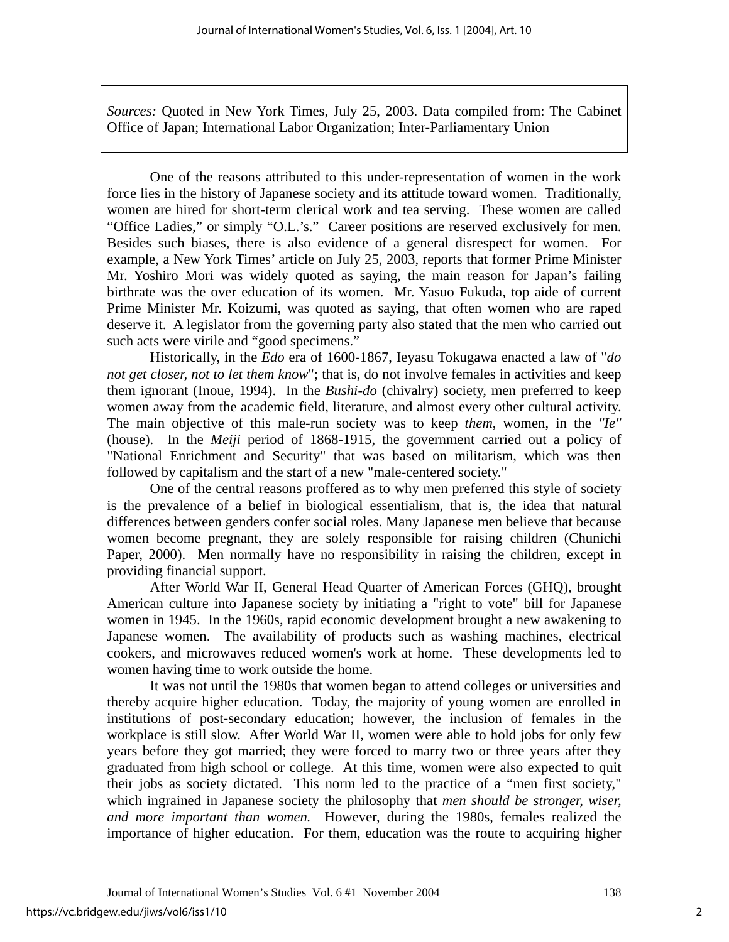*Sources:* Quoted in New York Times, July 25, 2003. Data compiled from: The Cabinet Office of Japan; International Labor Organization; Inter-Parliamentary Union

One of the reasons attributed to this under-representation of women in the work force lies in the history of Japanese society and its attitude toward women. Traditionally, women are hired for short-term clerical work and tea serving. These women are called "Office Ladies," or simply "O.L.'s." Career positions are reserved exclusively for men. Besides such biases, there is also evidence of a general disrespect for women. For example, a New York Times' article on July 25, 2003, reports that former Prime Minister Mr. Yoshiro Mori was widely quoted as saying, the main reason for Japan's failing birthrate was the over education of its women. Mr. Yasuo Fukuda, top aide of current Prime Minister Mr. Koizumi, was quoted as saying, that often women who are raped deserve it. A legislator from the governing party also stated that the men who carried out such acts were virile and "good specimens."

Historically, in the *Edo* era of 1600-1867, Ieyasu Tokugawa enacted a law of "*do not get closer, not to let them know*"; that is, do not involve females in activities and keep them ignorant (Inoue, 1994). In the *Bushi-do* (chivalry) society, men preferred to keep women away from the academic field, literature, and almost every other cultural activity. The main objective of this male-run society was to keep *them*, women, in the *"Ie"* (house). In the *Meiji* period of 1868-1915, the government carried out a policy of "National Enrichment and Security" that was based on militarism, which was then followed by capitalism and the start of a new "male-centered society."

One of the central reasons proffered as to why men preferred this style of society is the prevalence of a belief in biological essentialism, that is, the idea that natural differences between genders confer social roles. Many Japanese men believe that because women become pregnant, they are solely responsible for raising children (Chunichi Paper, 2000). Men normally have no responsibility in raising the children, except in providing financial support.

After World War II, General Head Quarter of American Forces (GHQ), brought American culture into Japanese society by initiating a "right to vote" bill for Japanese women in 1945. In the 1960s, rapid economic development brought a new awakening to Japanese women. The availability of products such as washing machines, electrical cookers, and microwaves reduced women's work at home. These developments led to women having time to work outside the home.

It was not until the 1980s that women began to attend colleges or universities and thereby acquire higher education. Today, the majority of young women are enrolled in institutions of post-secondary education; however, the inclusion of females in the workplace is still slow. After World War II, women were able to hold jobs for only few years before they got married; they were forced to marry two or three years after they graduated from high school or college. At this time, women were also expected to quit their jobs as society dictated. This norm led to the practice of a "men first society," which ingrained in Japanese society the philosophy that *men should be stronger, wiser, and more important than women.* However, during the 1980s, females realized the importance of higher education. For them, education was the route to acquiring higher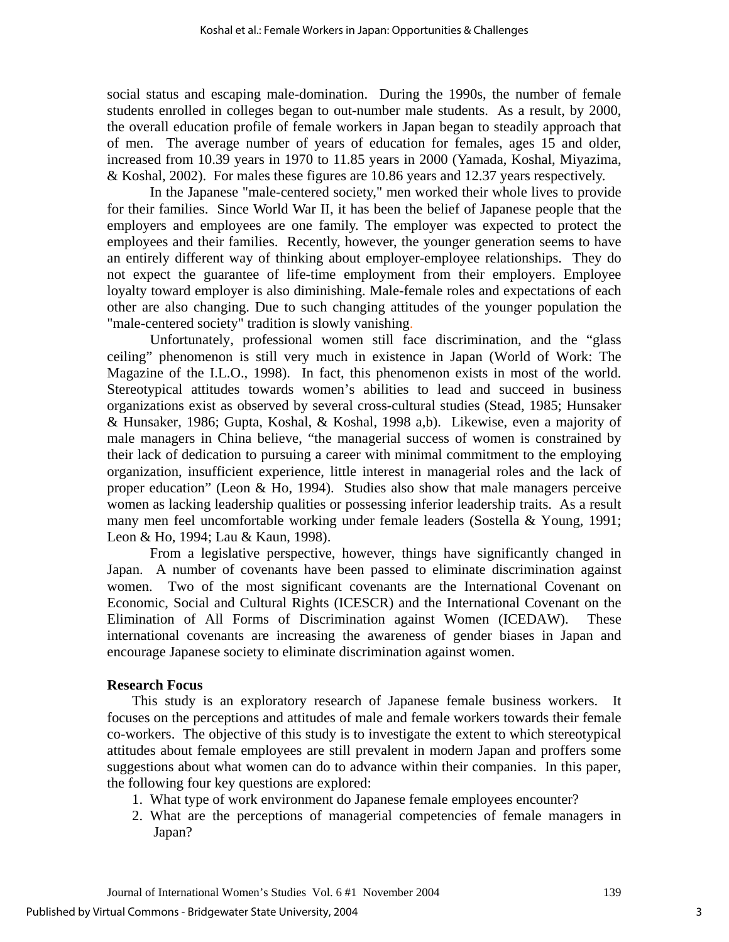social status and escaping male-domination. During the 1990s, the number of female students enrolled in colleges began to out-number male students. As a result, by 2000, the overall education profile of female workers in Japan began to steadily approach that of men. The average number of years of education for females, ages 15 and older, increased from 10.39 years in 1970 to 11.85 years in 2000 (Yamada, Koshal, Miyazima, & Koshal, 2002). For males these figures are 10.86 years and 12.37 years respectively.

In the Japanese "male-centered society," men worked their whole lives to provide for their families. Since World War II, it has been the belief of Japanese people that the employers and employees are one family. The employer was expected to protect the employees and their families. Recently, however, the younger generation seems to have an entirely different way of thinking about employer-employee relationships. They do not expect the guarantee of life-time employment from their employers. Employee loyalty toward employer is also diminishing. Male-female roles and expectations of each other are also changing. Due to such changing attitudes of the younger population the "male-centered society" tradition is slowly vanishing.

Unfortunately, professional women still face discrimination, and the "glass ceiling" phenomenon is still very much in existence in Japan (World of Work: The Magazine of the I.L.O., 1998). In fact, this phenomenon exists in most of the world. Stereotypical attitudes towards women's abilities to lead and succeed in business organizations exist as observed by several cross-cultural studies (Stead, 1985; Hunsaker & Hunsaker, 1986; Gupta, Koshal, & Koshal, 1998 a,b). Likewise, even a majority of male managers in China believe, "the managerial success of women is constrained by their lack of dedication to pursuing a career with minimal commitment to the employing organization, insufficient experience, little interest in managerial roles and the lack of proper education" (Leon & Ho, 1994). Studies also show that male managers perceive women as lacking leadership qualities or possessing inferior leadership traits. As a result many men feel uncomfortable working under female leaders (Sostella & Young, 1991; Leon & Ho, 1994; Lau & Kaun, 1998).

From a legislative perspective, however, things have significantly changed in Japan. A number of covenants have been passed to eliminate discrimination against women. Two of the most significant covenants are the International Covenant on Economic, Social and Cultural Rights (ICESCR) and the International Covenant on the Elimination of All Forms of Discrimination against Women (ICEDAW). These international covenants are increasing the awareness of gender biases in Japan and encourage Japanese society to eliminate discrimination against women.

## **Research Focus**

This study is an exploratory research of Japanese female business workers. It focuses on the perceptions and attitudes of male and female workers towards their female co-workers. The objective of this study is to investigate the extent to which stereotypical attitudes about female employees are still prevalent in modern Japan and proffers some suggestions about what women can do to advance within their companies. In this paper, the following four key questions are explored:

- 1. What type of work environment do Japanese female employees encounter?
- 2. What are the perceptions of managerial competencies of female managers in Japan?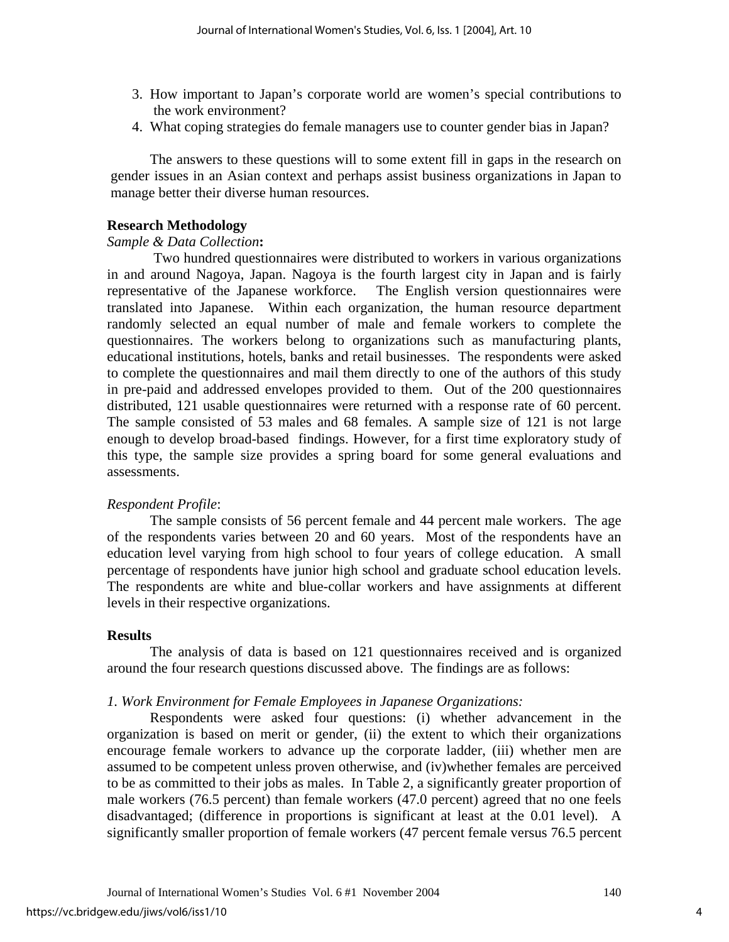- 3. How important to Japan's corporate world are women's special contributions to the work environment?
- 4. What coping strategies do female managers use to counter gender bias in Japan?

The answers to these questions will to some extent fill in gaps in the research on gender issues in an Asian context and perhaps assist business organizations in Japan to manage better their diverse human resources.

### **Research Methodology**

#### *Sample & Data Collection***:**

 Two hundred questionnaires were distributed to workers in various organizations in and around Nagoya, Japan. Nagoya is the fourth largest city in Japan and is fairly representative of the Japanese workforce. The English version questionnaires were translated into Japanese. Within each organization, the human resource department randomly selected an equal number of male and female workers to complete the questionnaires. The workers belong to organizations such as manufacturing plants, educational institutions, hotels, banks and retail businesses. The respondents were asked to complete the questionnaires and mail them directly to one of the authors of this study in pre-paid and addressed envelopes provided to them. Out of the 200 questionnaires distributed, 121 usable questionnaires were returned with a response rate of 60 percent. The sample consisted of 53 males and 68 females. A sample size of 121 is not large enough to develop broad-based findings. However, for a first time exploratory study of this type, the sample size provides a spring board for some general evaluations and assessments.

## *Respondent Profile*:

The sample consists of 56 percent female and 44 percent male workers. The age of the respondents varies between 20 and 60 years. Most of the respondents have an education level varying from high school to four years of college education. A small percentage of respondents have junior high school and graduate school education levels. The respondents are white and blue-collar workers and have assignments at different levels in their respective organizations.

#### **Results**

The analysis of data is based on 121 questionnaires received and is organized around the four research questions discussed above. The findings are as follows:

#### *1. Work Environment for Female Employees in Japanese Organizations:*

Respondents were asked four questions: (i) whether advancement in the organization is based on merit or gender, (ii) the extent to which their organizations encourage female workers to advance up the corporate ladder, (iii) whether men are assumed to be competent unless proven otherwise, and (iv)whether females are perceived to be as committed to their jobs as males. In Table 2, a significantly greater proportion of male workers (76.5 percent) than female workers (47.0 percent) agreed that no one feels disadvantaged; (difference in proportions is significant at least at the 0.01 level). A significantly smaller proportion of female workers (47 percent female versus 76.5 percent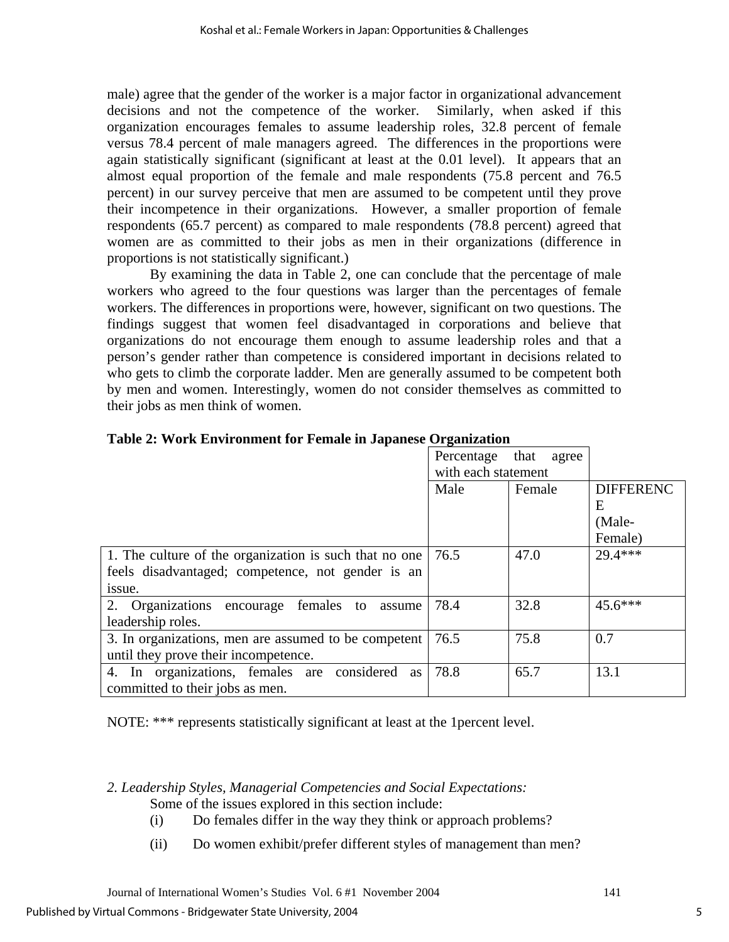male) agree that the gender of the worker is a major factor in organizational advancement decisions and not the competence of the worker. Similarly, when asked if this organization encourages females to assume leadership roles, 32.8 percent of female versus 78.4 percent of male managers agreed. The differences in the proportions were again statistically significant (significant at least at the 0.01 level). It appears that an almost equal proportion of the female and male respondents (75.8 percent and 76.5 percent) in our survey perceive that men are assumed to be competent until they prove their incompetence in their organizations. However, a smaller proportion of female respondents (65.7 percent) as compared to male respondents (78.8 percent) agreed that women are as committed to their jobs as men in their organizations (difference in proportions is not statistically significant.)

By examining the data in Table 2, one can conclude that the percentage of male workers who agreed to the four questions was larger than the percentages of female workers. The differences in proportions were, however, significant on two questions. The findings suggest that women feel disadvantaged in corporations and believe that organizations do not encourage them enough to assume leadership roles and that a person's gender rather than competence is considered important in decisions related to who gets to climb the corporate ladder. Men are generally assumed to be competent both by men and women. Interestingly, women do not consider themselves as committed to their jobs as men think of women.

|                                                        | Percentage          | that<br>agree |                  |
|--------------------------------------------------------|---------------------|---------------|------------------|
|                                                        | with each statement |               |                  |
|                                                        | Male                | Female        | <b>DIFFERENC</b> |
|                                                        |                     |               | E                |
|                                                        |                     |               | (Male-           |
|                                                        |                     |               | Female)          |
| 1. The culture of the organization is such that no one | 76.5                | 47.0          | 29.4***          |
| feels disadvantaged; competence, not gender is an      |                     |               |                  |
| issue.                                                 |                     |               |                  |
| 2. Organizations encourage females to<br>assume        | 78.4                | 32.8          | $45.6***$        |
| leadership roles.                                      |                     |               |                  |
| 3. In organizations, men are assumed to be competent   | 76.5                | 75.8          | 0.7              |
| until they prove their incompetence.                   |                     |               |                  |
| 4. In organizations, females are considered<br>as      | 78.8                | 65.7          | 13.1             |
| committed to their jobs as men.                        |                     |               |                  |

**Table 2: Work Environment for Female in Japanese Organization** 

NOTE: \*\*\* represents statistically significant at least at the 1percent level.

- *2. Leadership Styles, Managerial Competencies and Social Expectations:*  Some of the issues explored in this section include:
	- (i) Do females differ in the way they think or approach problems?
	- (ii) Do women exhibit/prefer different styles of management than men?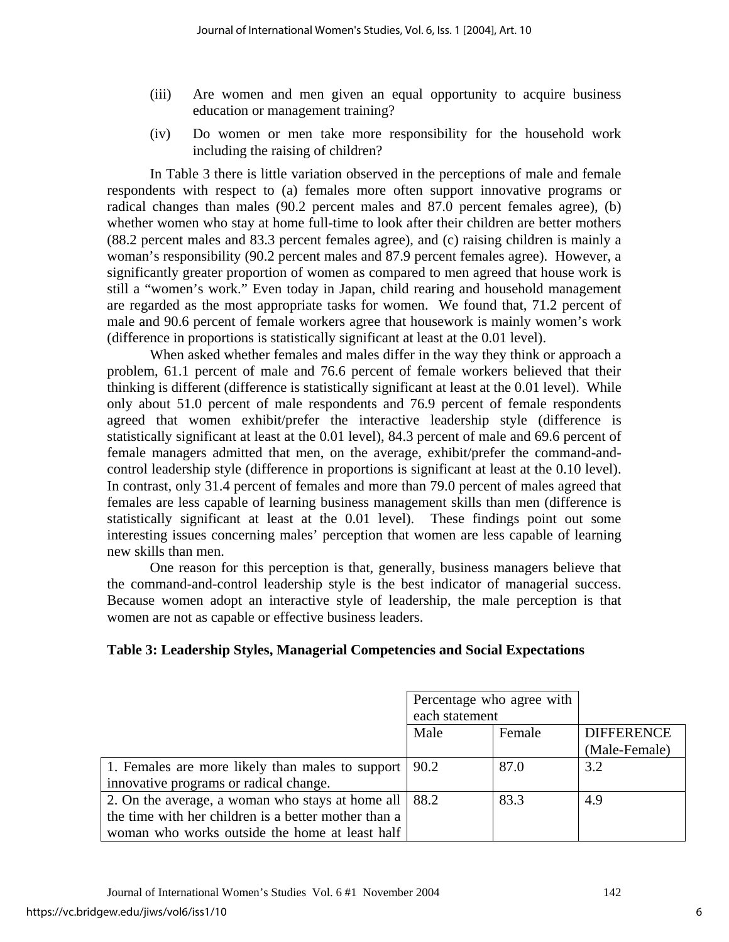- (iii) Are women and men given an equal opportunity to acquire business education or management training?
- (iv) Do women or men take more responsibility for the household work including the raising of children?

In Table 3 there is little variation observed in the perceptions of male and female respondents with respect to (a) females more often support innovative programs or radical changes than males (90.2 percent males and 87.0 percent females agree), (b) whether women who stay at home full-time to look after their children are better mothers (88.2 percent males and 83.3 percent females agree), and (c) raising children is mainly a woman's responsibility (90.2 percent males and 87.9 percent females agree). However, a significantly greater proportion of women as compared to men agreed that house work is still a "women's work." Even today in Japan, child rearing and household management are regarded as the most appropriate tasks for women. We found that, 71.2 percent of male and 90.6 percent of female workers agree that housework is mainly women's work (difference in proportions is statistically significant at least at the 0.01 level).

When asked whether females and males differ in the way they think or approach a problem, 61.1 percent of male and 76.6 percent of female workers believed that their thinking is different (difference is statistically significant at least at the 0.01 level). While only about 51.0 percent of male respondents and 76.9 percent of female respondents agreed that women exhibit/prefer the interactive leadership style (difference is statistically significant at least at the 0.01 level), 84.3 percent of male and 69.6 percent of female managers admitted that men, on the average, exhibit/prefer the command-andcontrol leadership style (difference in proportions is significant at least at the 0.10 level). In contrast, only 31.4 percent of females and more than 79.0 percent of males agreed that females are less capable of learning business management skills than men (difference is statistically significant at least at the 0.01 level). These findings point out some interesting issues concerning males' perception that women are less capable of learning new skills than men.

One reason for this perception is that, generally, business managers believe that the command-and-control leadership style is the best indicator of managerial success. Because women adopt an interactive style of leadership, the male perception is that women are not as capable or effective business leaders.

# **Table 3: Leadership Styles, Managerial Competencies and Social Expectations**

|                                                         | Percentage who agree with<br>each statement |        |                   |
|---------------------------------------------------------|---------------------------------------------|--------|-------------------|
|                                                         | Male                                        | Female | <b>DIFFERENCE</b> |
|                                                         |                                             |        | (Male-Female)     |
| 1. Females are more likely than males to support   90.2 |                                             | 87.0   | 3.2               |
| innovative programs or radical change.                  |                                             |        |                   |
| 2. On the average, a woman who stays at home all   88.2 |                                             | 83.3   | 4.9               |
| the time with her children is a better mother than a    |                                             |        |                   |
| woman who works outside the home at least half          |                                             |        |                   |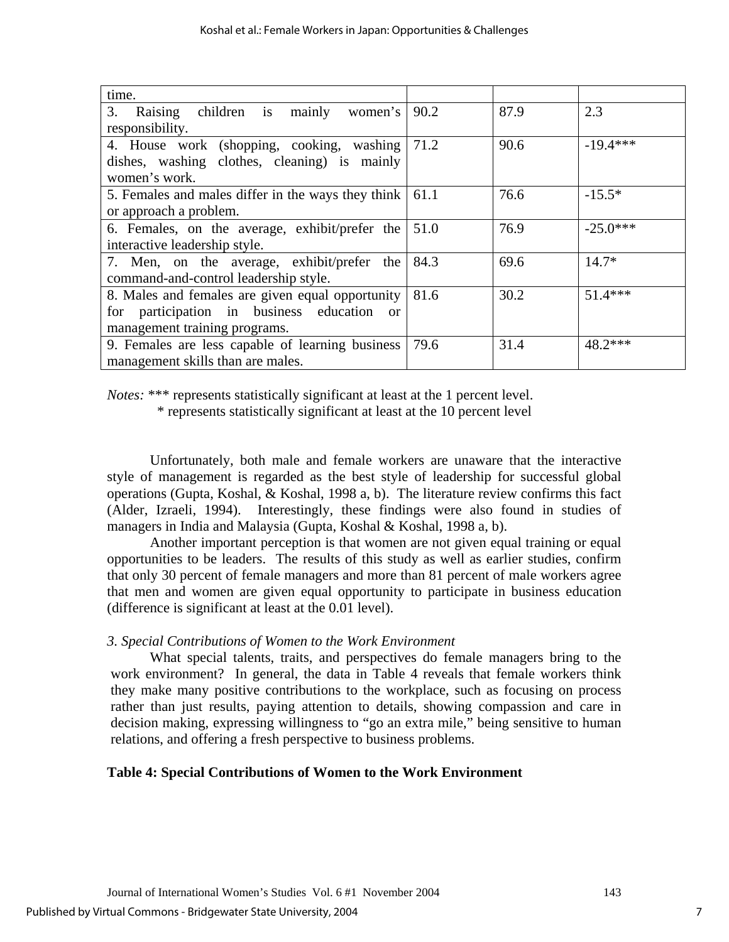| time.                                               |      |      |            |
|-----------------------------------------------------|------|------|------------|
| children is mainly<br>3.<br>women's<br>Raising      | 90.2 | 87.9 | 2.3        |
| responsibility.                                     |      |      |            |
| 4. House work (shopping, cooking, washing           | 71.2 | 90.6 | $-19.4***$ |
| dishes, washing clothes, cleaning) is mainly        |      |      |            |
| women's work.                                       |      |      |            |
| 5. Females and males differ in the ways they think  | 61.1 | 76.6 | $-15.5*$   |
| or approach a problem.                              |      |      |            |
| 6. Females, on the average, exhibit/prefer the      | 51.0 | 76.9 | $-25.0***$ |
| interactive leadership style.                       |      |      |            |
| 7. Men, on the average, exhibit/prefer the          | 84.3 | 69.6 | $14.7*$    |
| command-and-control leadership style.               |      |      |            |
| 8. Males and females are given equal opportunity    | 81.6 | 30.2 | $51.4***$  |
| for participation in business education<br>$\alpha$ |      |      |            |
| management training programs.                       |      |      |            |
| 9. Females are less capable of learning business    | 79.6 | 31.4 | 48.2***    |
| management skills than are males.                   |      |      |            |

*Notes:* \*\*\* represents statistically significant at least at the 1 percent level.

\* represents statistically significant at least at the 10 percent level

Unfortunately, both male and female workers are unaware that the interactive style of management is regarded as the best style of leadership for successful global operations (Gupta, Koshal, & Koshal, 1998 a, b). The literature review confirms this fact (Alder, Izraeli, 1994). Interestingly, these findings were also found in studies of managers in India and Malaysia (Gupta, Koshal & Koshal, 1998 a, b).

Another important perception is that women are not given equal training or equal opportunities to be leaders. The results of this study as well as earlier studies, confirm that only 30 percent of female managers and more than 81 percent of male workers agree that men and women are given equal opportunity to participate in business education (difference is significant at least at the 0.01 level).

# *3. Special Contributions of Women to the Work Environment*

What special talents, traits, and perspectives do female managers bring to the work environment? In general, the data in Table 4 reveals that female workers think they make many positive contributions to the workplace, such as focusing on process rather than just results, paying attention to details, showing compassion and care in decision making, expressing willingness to "go an extra mile," being sensitive to human relations, and offering a fresh perspective to business problems.

# **Table 4: Special Contributions of Women to the Work Environment**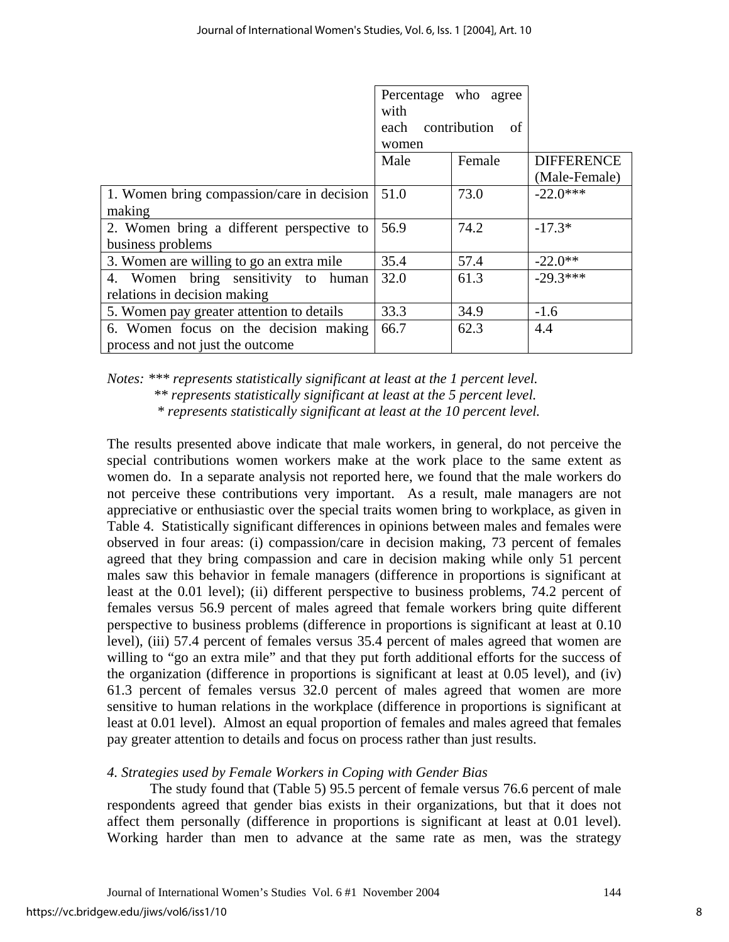|                                            |       | Percentage who agree |                   |
|--------------------------------------------|-------|----------------------|-------------------|
|                                            | with  |                      |                   |
|                                            | each  | contribution<br>-of  |                   |
|                                            | women |                      |                   |
|                                            | Male  | Female               | <b>DIFFERENCE</b> |
|                                            |       |                      | (Male-Female)     |
| 1. Women bring compassion/care in decision | 51.0  | 73.0                 | $-22.0***$        |
| making                                     |       |                      |                   |
| 2. Women bring a different perspective to  | 56.9  | 74.2                 | $-17.3*$          |
| business problems                          |       |                      |                   |
| 3. Women are willing to go an extra mile   | 35.4  | 57.4                 | $-22.0**$         |
| 4. Women bring sensitivity to<br>human     | 32.0  | 61.3                 | $-29.3***$        |
| relations in decision making               |       |                      |                   |
| 5. Women pay greater attention to details  | 33.3  | 34.9                 | $-1.6$            |
| 6. Women focus on the decision making      | 66.7  | 62.3                 | 4.4               |
| process and not just the outcome           |       |                      |                   |

*Notes: \*\*\* represents statistically significant at least at the 1 percent level. \*\* represents statistically significant at least at the 5 percent level. \* represents statistically significant at least at the 10 percent level.* 

The results presented above indicate that male workers, in general, do not perceive the special contributions women workers make at the work place to the same extent as women do. In a separate analysis not reported here, we found that the male workers do not perceive these contributions very important. As a result, male managers are not appreciative or enthusiastic over the special traits women bring to workplace, as given in Table 4. Statistically significant differences in opinions between males and females were observed in four areas: (i) compassion/care in decision making, 73 percent of females agreed that they bring compassion and care in decision making while only 51 percent males saw this behavior in female managers (difference in proportions is significant at least at the 0.01 level); (ii) different perspective to business problems, 74.2 percent of females versus 56.9 percent of males agreed that female workers bring quite different perspective to business problems (difference in proportions is significant at least at 0.10 level), (iii) 57.4 percent of females versus 35.4 percent of males agreed that women are willing to "go an extra mile" and that they put forth additional efforts for the success of the organization (difference in proportions is significant at least at 0.05 level), and (iv) 61.3 percent of females versus 32.0 percent of males agreed that women are more sensitive to human relations in the workplace (difference in proportions is significant at least at 0.01 level). Almost an equal proportion of females and males agreed that females pay greater attention to details and focus on process rather than just results.

# *4. Strategies used by Female Workers in Coping with Gender Bias*

The study found that (Table 5) 95.5 percent of female versus 76.6 percent of male respondents agreed that gender bias exists in their organizations, but that it does not affect them personally (difference in proportions is significant at least at 0.01 level). Working harder than men to advance at the same rate as men, was the strategy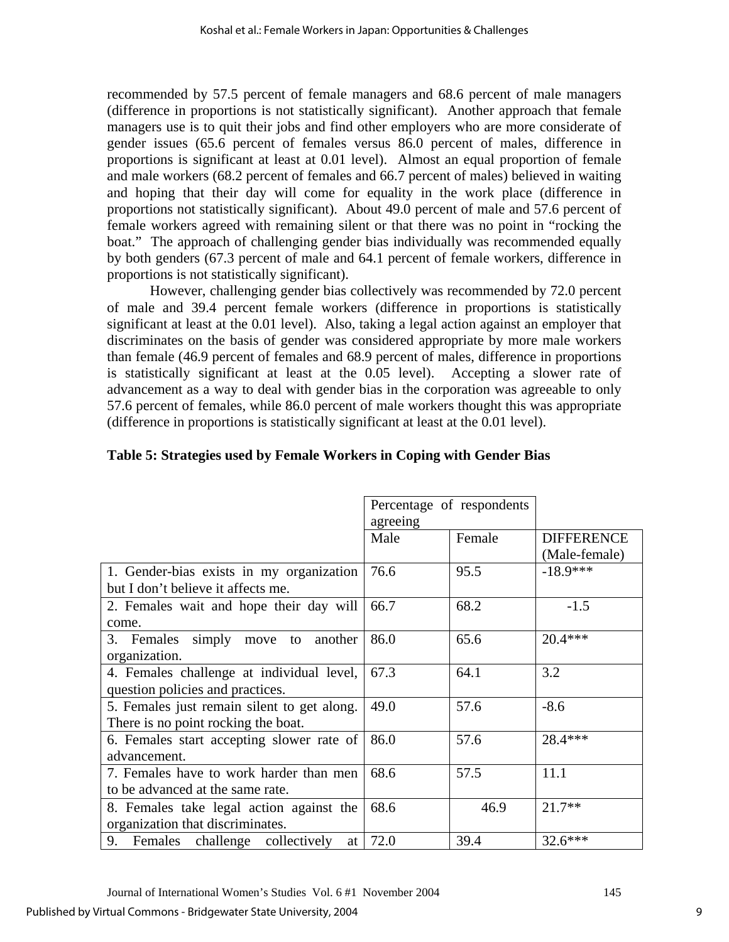recommended by 57.5 percent of female managers and 68.6 percent of male managers (difference in proportions is not statistically significant). Another approach that female managers use is to quit their jobs and find other employers who are more considerate of gender issues (65.6 percent of females versus 86.0 percent of males, difference in proportions is significant at least at 0.01 level). Almost an equal proportion of female and male workers (68.2 percent of females and 66.7 percent of males) believed in waiting and hoping that their day will come for equality in the work place (difference in proportions not statistically significant). About 49.0 percent of male and 57.6 percent of female workers agreed with remaining silent or that there was no point in "rocking the boat." The approach of challenging gender bias individually was recommended equally by both genders (67.3 percent of male and 64.1 percent of female workers, difference in proportions is not statistically significant).

However, challenging gender bias collectively was recommended by 72.0 percent of male and 39.4 percent female workers (difference in proportions is statistically significant at least at the 0.01 level). Also, taking a legal action against an employer that discriminates on the basis of gender was considered appropriate by more male workers than female (46.9 percent of females and 68.9 percent of males, difference in proportions is statistically significant at least at the 0.05 level). Accepting a slower rate of advancement as a way to deal with gender bias in the corporation was agreeable to only 57.6 percent of females, while 86.0 percent of male workers thought this was appropriate (difference in proportions is statistically significant at least at the 0.01 level).

|                                             | Percentage of respondents<br>agreeing |        |                   |
|---------------------------------------------|---------------------------------------|--------|-------------------|
|                                             | Male                                  | Female | <b>DIFFERENCE</b> |
|                                             |                                       |        | (Male-female)     |
| 1. Gender-bias exists in my organization    | 76.6                                  | 95.5   | $-18.9***$        |
| but I don't believe it affects me.          |                                       |        |                   |
| 2. Females wait and hope their day will     | 66.7                                  | 68.2   | $-1.5$            |
| come.                                       |                                       |        |                   |
| another<br>simply<br>3. Females<br>move to  | 86.0                                  | 65.6   | 20.4***           |
| organization.                               |                                       |        |                   |
| 4. Females challenge at individual level,   | 67.3                                  | 64.1   | 3.2               |
| question policies and practices.            |                                       |        |                   |
| 5. Females just remain silent to get along. | 49.0                                  | 57.6   | $-8.6$            |
| There is no point rocking the boat.         |                                       |        |                   |
| 6. Females start accepting slower rate of   | 86.0                                  | 57.6   | 28.4 ***          |
| advancement.                                |                                       |        |                   |
| 7. Females have to work harder than men     | 68.6                                  | 57.5   | 11.1              |
| to be advanced at the same rate.            |                                       |        |                   |
| 8. Females take legal action against the    | 68.6                                  | 46.9   | $21.7**$          |
| organization that discriminates.            |                                       |        |                   |
| 9. Females challenge collectively<br>at     | 72.0                                  | 39.4   | $32.6***$         |

# **Table 5: Strategies used by Female Workers in Coping with Gender Bias**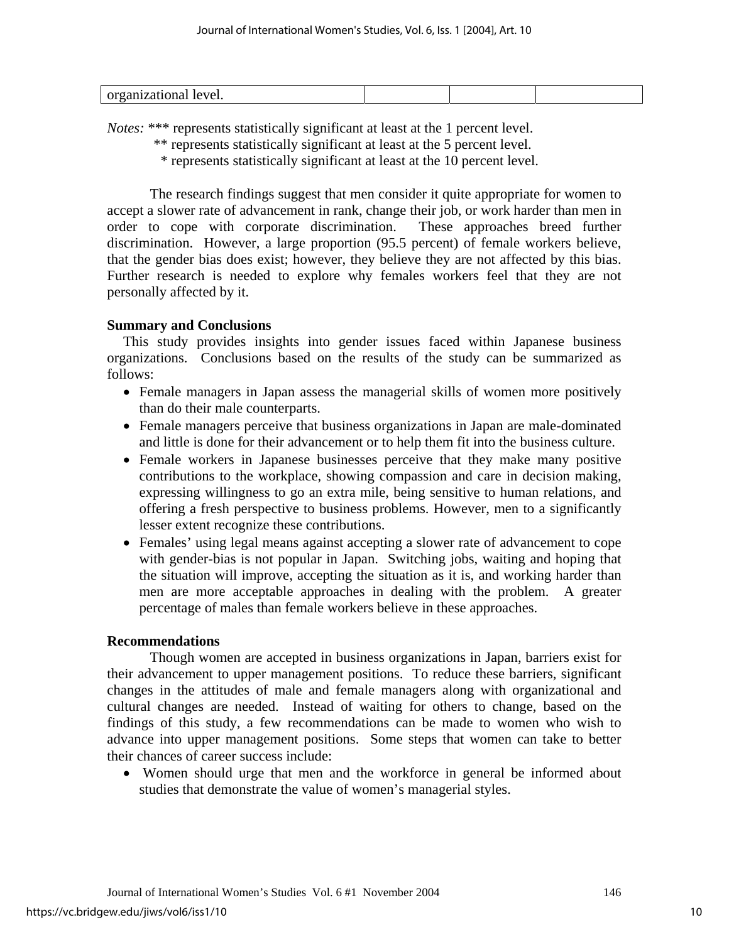| the contract of the contract of the contract of the contract of the contract of the contract of the contract of<br>$\mathbf{v}$<br>vı.<br>$\ddot{\phantom{0}}$ |  |  |
|----------------------------------------------------------------------------------------------------------------------------------------------------------------|--|--|
|                                                                                                                                                                |  |  |

*Notes*: \*\*\* represents statistically significant at least at the 1 percent level.

- \*\* represents statistically significant at least at the 5 percent level.
	- \* represents statistically significant at least at the 10 percent level.

The research findings suggest that men consider it quite appropriate for women to accept a slower rate of advancement in rank, change their job, or work harder than men in order to cope with corporate discrimination. These approaches breed further discrimination. However, a large proportion (95.5 percent) of female workers believe, that the gender bias does exist; however, they believe they are not affected by this bias. Further research is needed to explore why females workers feel that they are not personally affected by it.

### **Summary and Conclusions**

This study provides insights into gender issues faced within Japanese business organizations. Conclusions based on the results of the study can be summarized as follows:

- Female managers in Japan assess the managerial skills of women more positively than do their male counterparts.
- Female managers perceive that business organizations in Japan are male-dominated and little is done for their advancement or to help them fit into the business culture.
- Female workers in Japanese businesses perceive that they make many positive contributions to the workplace, showing compassion and care in decision making, expressing willingness to go an extra mile, being sensitive to human relations, and offering a fresh perspective to business problems. However, men to a significantly lesser extent recognize these contributions.
- Females' using legal means against accepting a slower rate of advancement to cope with gender-bias is not popular in Japan. Switching jobs, waiting and hoping that the situation will improve, accepting the situation as it is, and working harder than men are more acceptable approaches in dealing with the problem. A greater percentage of males than female workers believe in these approaches.

#### **Recommendations**

Though women are accepted in business organizations in Japan, barriers exist for their advancement to upper management positions. To reduce these barriers, significant changes in the attitudes of male and female managers along with organizational and cultural changes are needed. Instead of waiting for others to change, based on the findings of this study, a few recommendations can be made to women who wish to advance into upper management positions. Some steps that women can take to better their chances of career success include:

• Women should urge that men and the workforce in general be informed about studies that demonstrate the value of women's managerial styles.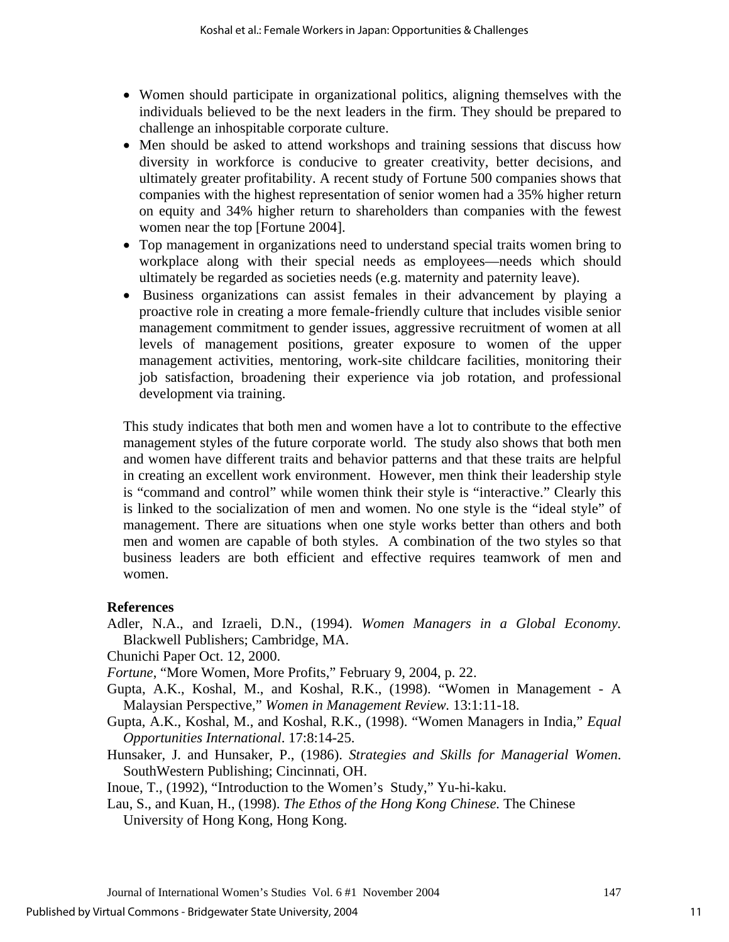- Women should participate in organizational politics, aligning themselves with the individuals believed to be the next leaders in the firm. They should be prepared to challenge an inhospitable corporate culture.
- Men should be asked to attend workshops and training sessions that discuss how diversity in workforce is conducive to greater creativity, better decisions, and ultimately greater profitability. A recent study of Fortune 500 companies shows that companies with the highest representation of senior women had a 35% higher return on equity and 34% higher return to shareholders than companies with the fewest women near the top [Fortune 2004].
- Top management in organizations need to understand special traits women bring to workplace along with their special needs as employees—needs which should ultimately be regarded as societies needs (e.g. maternity and paternity leave).
- Business organizations can assist females in their advancement by playing a proactive role in creating a more female-friendly culture that includes visible senior management commitment to gender issues, aggressive recruitment of women at all levels of management positions, greater exposure to women of the upper management activities, mentoring, work-site childcare facilities, monitoring their job satisfaction, broadening their experience via job rotation, and professional development via training.

This study indicates that both men and women have a lot to contribute to the effective management styles of the future corporate world. The study also shows that both men and women have different traits and behavior patterns and that these traits are helpful in creating an excellent work environment. However, men think their leadership style is "command and control" while women think their style is "interactive." Clearly this is linked to the socialization of men and women. No one style is the "ideal style" of management. There are situations when one style works better than others and both men and women are capable of both styles. A combination of the two styles so that business leaders are both efficient and effective requires teamwork of men and women.

## **References**

Adler, N.A., and Izraeli, D.N., (1994). *Women Managers in a Global Economy.* Blackwell Publishers; Cambridge, MA.

Chunichi Paper Oct. 12, 2000.

*Fortune*, "More Women, More Profits," February 9, 2004, p. 22.

- Gupta, A.K., Koshal, M., and Koshal, R.K., (1998). "Women in Management A Malaysian Perspective," *Women in Management Review.* 13:1:11-18.
- Gupta, A.K., Koshal, M., and Koshal, R.K., (1998). "Women Managers in India," *Equal Opportunities International*. 17:8:14-25.

Hunsaker, J. and Hunsaker, P., (1986). *Strategies and Skills for Managerial Women*. SouthWestern Publishing; Cincinnati, OH.

Inoue, T., (1992), "Introduction to the Women's Study," Yu-hi-kaku.

Lau, S., and Kuan, H., (1998). *The Ethos of the Hong Kong Chinese.* The Chinese University of Hong Kong, Hong Kong.